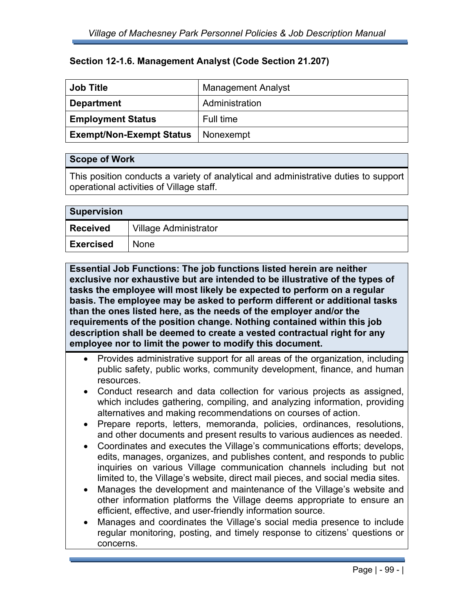## **Section 12-1.6. Management Analyst (Code Section 21.207)**

| <b>Job Title</b>                | <b>Management Analyst</b> |
|---------------------------------|---------------------------|
| <b>Department</b>               | Administration            |
| <b>Employment Status</b>        | Full time                 |
| <b>Exempt/Non-Exempt Status</b> | Nonexempt                 |

## **Scope of Work**

This position conducts a variety of analytical and administrative duties to support operational activities of Village staff.

| <b>Supervision</b> |                       |  |
|--------------------|-----------------------|--|
| <b>Received</b>    | Village Administrator |  |
| <b>Exercised</b>   | <b>None</b>           |  |

**Essential Job Functions: The job functions listed herein are neither exclusive nor exhaustive but are intended to be illustrative of the types of tasks the employee will most likely be expected to perform on a regular basis. The employee may be asked to perform different or additional tasks than the ones listed here, as the needs of the employer and/or the requirements of the position change. Nothing contained within this job description shall be deemed to create a vested contractual right for any employee nor to limit the power to modify this document.** 

- Provides administrative support for all areas of the organization, including public safety, public works, community development, finance, and human resources.
- Conduct research and data collection for various projects as assigned, which includes gathering, compiling, and analyzing information, providing alternatives and making recommendations on courses of action.
- Prepare reports, letters, memoranda, policies, ordinances, resolutions, and other documents and present results to various audiences as needed.
- Coordinates and executes the Village's communications efforts; develops, edits, manages, organizes, and publishes content, and responds to public inquiries on various Village communication channels including but not limited to, the Village's website, direct mail pieces, and social media sites.
- Manages the development and maintenance of the Village's website and other information platforms the Village deems appropriate to ensure an efficient, effective, and user-friendly information source.
- Manages and coordinates the Village's social media presence to include regular monitoring, posting, and timely response to citizens' questions or concerns.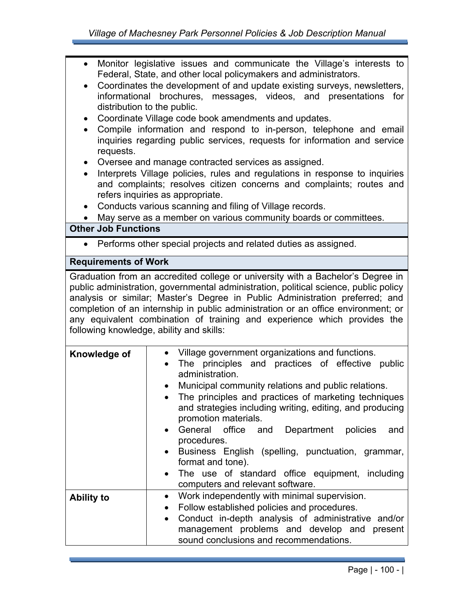| Monitor legislative issues and communicate the Village's interests to<br>$\bullet$<br>Federal, State, and other local policymakers and administrators.<br>Coordinates the development of and update existing surveys, newsletters,<br>informational brochures, messages, videos, and presentations for<br>distribution to the public.<br>Coordinate Village code book amendments and updates.<br>Compile information and respond to in-person, telephone and email<br>$\bullet$<br>inquiries regarding public services, requests for information and service<br>requests.<br>Oversee and manage contracted services as assigned.<br>Interprets Village policies, rules and regulations in response to inquiries<br>and complaints; resolves citizen concerns and complaints; routes and<br>refers inquiries as appropriate.<br>Conducts various scanning and filing of Village records. |                                                                                                                                                                                                                                                                                                                                                                                                                                                                                                                                                                                                            |  |
|-----------------------------------------------------------------------------------------------------------------------------------------------------------------------------------------------------------------------------------------------------------------------------------------------------------------------------------------------------------------------------------------------------------------------------------------------------------------------------------------------------------------------------------------------------------------------------------------------------------------------------------------------------------------------------------------------------------------------------------------------------------------------------------------------------------------------------------------------------------------------------------------|------------------------------------------------------------------------------------------------------------------------------------------------------------------------------------------------------------------------------------------------------------------------------------------------------------------------------------------------------------------------------------------------------------------------------------------------------------------------------------------------------------------------------------------------------------------------------------------------------------|--|
| <b>Other Job Functions</b>                                                                                                                                                                                                                                                                                                                                                                                                                                                                                                                                                                                                                                                                                                                                                                                                                                                              | May serve as a member on various community boards or committees.                                                                                                                                                                                                                                                                                                                                                                                                                                                                                                                                           |  |
| Performs other special projects and related duties as assigned.<br>$\bullet$                                                                                                                                                                                                                                                                                                                                                                                                                                                                                                                                                                                                                                                                                                                                                                                                            |                                                                                                                                                                                                                                                                                                                                                                                                                                                                                                                                                                                                            |  |
| <b>Requirements of Work</b>                                                                                                                                                                                                                                                                                                                                                                                                                                                                                                                                                                                                                                                                                                                                                                                                                                                             |                                                                                                                                                                                                                                                                                                                                                                                                                                                                                                                                                                                                            |  |
|                                                                                                                                                                                                                                                                                                                                                                                                                                                                                                                                                                                                                                                                                                                                                                                                                                                                                         | Graduation from an accredited college or university with a Bachelor's Degree in                                                                                                                                                                                                                                                                                                                                                                                                                                                                                                                            |  |
| public administration, governmental administration, political science, public policy<br>analysis or similar; Master's Degree in Public Administration preferred; and<br>completion of an internship in public administration or an office environment; or<br>any equivalent combination of training and experience which provides the<br>following knowledge, ability and skills:                                                                                                                                                                                                                                                                                                                                                                                                                                                                                                       |                                                                                                                                                                                                                                                                                                                                                                                                                                                                                                                                                                                                            |  |
| Knowledge of                                                                                                                                                                                                                                                                                                                                                                                                                                                                                                                                                                                                                                                                                                                                                                                                                                                                            | Village government organizations and functions.<br>$\bullet$<br>The principles and practices of effective public<br>administration.<br>Municipal community relations and public relations.<br>The principles and practices of marketing techniques<br>$\bullet$<br>and strategies including writing, editing, and producing<br>promotion materials.<br>General<br>office<br>and<br>Department policies<br>and<br>procedures.<br>Business English (spelling, punctuation, grammar,<br>format and tone).<br>The use of standard office equipment, including<br>$\bullet$<br>computers and relevant software. |  |
| <b>Ability to</b>                                                                                                                                                                                                                                                                                                                                                                                                                                                                                                                                                                                                                                                                                                                                                                                                                                                                       | Work independently with minimal supervision.<br>$\bullet$<br>Follow established policies and procedures.<br>٠<br>Conduct in-depth analysis of administrative and/or<br>$\bullet$<br>management problems and develop and present<br>sound conclusions and recommendations.                                                                                                                                                                                                                                                                                                                                  |  |